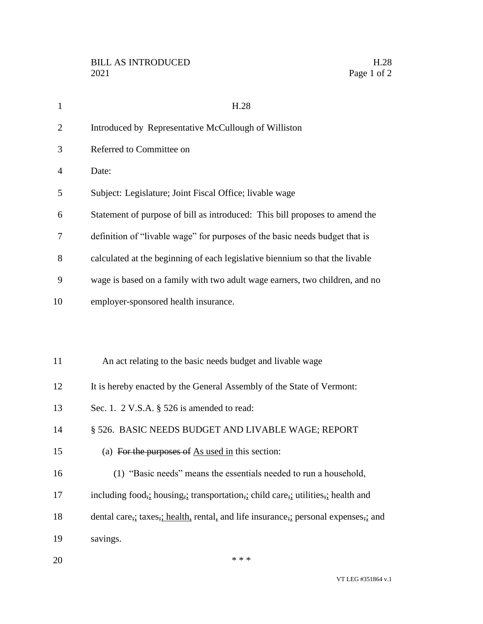| $\mathbf{1}$   | H.28                                                                           |
|----------------|--------------------------------------------------------------------------------|
| $\overline{2}$ | Introduced by Representative McCullough of Williston                           |
| 3              | Referred to Committee on                                                       |
| $\overline{4}$ | Date:                                                                          |
| 5              | Subject: Legislature; Joint Fiscal Office; livable wage                        |
| 6              | Statement of purpose of bill as introduced: This bill proposes to amend the    |
| 7              | definition of "livable wage" for purposes of the basic needs budget that is    |
| 8              | calculated at the beginning of each legislative biennium so that the livable   |
| 9              | wage is based on a family with two adult wage earners, two children, and no    |
| 10             | employer-sponsored health insurance.                                           |
|                |                                                                                |
| 11             | An act relating to the basic needs budget and livable wage                     |
| 12             | It is hereby enacted by the General Assembly of the State of Vermont:          |
| 13             | Sec. 1. 2 V.S.A. § 526 is amended to read:                                     |
| 14             | § 526. BASIC NEEDS BUDGET AND LIVABLE WAGE; REPORT                             |
| 15             | (a) For the purposes of $\Delta s$ used in this section:                       |
| 16             | (1) "Basic needs" means the essentials needed to run a household,              |
| 17             | including food, bousing, transportation, child care, utilities, health and     |
| 18             | dental care, taxes, health, rental, and life insurance, personal expenses, and |
| 19             | savings.                                                                       |
|                |                                                                                |

20  $***$